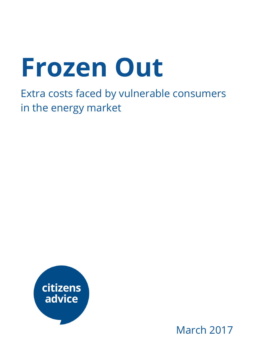# Frozen Out

Extra costs faced by vulnerable consumers in the energy market



March 2017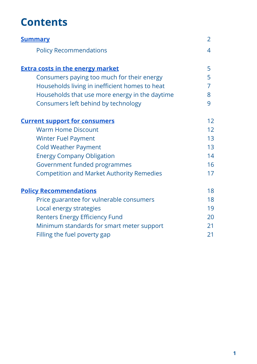## **Contents**

<span id="page-1-3"></span><span id="page-1-2"></span><span id="page-1-1"></span><span id="page-1-0"></span>

| <b>Summary</b>                                   | $\overline{2}$ |
|--------------------------------------------------|----------------|
| <b>Policy Recommendations</b>                    | 4              |
| <b>Extra costs in the energy market</b>          | 5              |
| Consumers paying too much for their energy       | 5              |
| Households living in inefficient homes to heat   | 7              |
| Households that use more energy in the daytime   | 8              |
| Consumers left behind by technology              | 9              |
| <b>Current support for consumers</b>             | 12             |
| <b>Warm Home Discount</b>                        | 12             |
| <b>Winter Fuel Payment</b>                       | 13             |
| <b>Cold Weather Payment</b>                      | 13             |
| <b>Energy Company Obligation</b>                 | 14             |
| Government funded programmes                     | 16             |
| <b>Competition and Market Authority Remedies</b> | 17             |
| <b>Policy Recommendations</b>                    | 18             |
| Price guarantee for vulnerable consumers         | 18             |
| Local energy strategies                          | 19             |
| <b>Renters Energy Efficiency Fund</b>            | 20             |
| Minimum standards for smart meter support        | 21             |
| Filling the fuel poverty gap                     | 21             |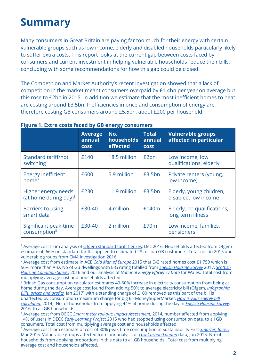# Summary

Many consumers in Great Britain are paying far too much for their energy with certain vulnerable groups such as low income, elderly and disabled households particularly likely to suffer extra costs. This report looks at the current gap between costs faced by consumers and current investment in helping vulnerable households reduce their bills, concluding with some recommendations for how this gap could be closed.

The Competition and Market Authority's recent investigation showed that a lack of competition in the market meant consumers overpaid by £1.4bn per year on average but this rose to £2bn in 2015. In addition we estimate that the most inefficient homes to heat are costing around £3.5bn. Inefficiencies in price and consumption of energy are therefore costing GB consumers around £5.5bn, about £200 per household.

|                                                     | <b>Average</b><br>annual<br><b>cost</b> | No.<br>households<br>affected | <b>Total</b><br>annual<br><b>cost</b> | <b>Vulnerable groups</b><br>affected in particular |
|-----------------------------------------------------|-----------------------------------------|-------------------------------|---------------------------------------|----------------------------------------------------|
| Standard tariff/not<br>switching <sup>1</sup>       | £140                                    | 18.5 million                  | £2bn                                  | Low income, low<br>qualifications, elderly         |
| <b>Energy inefficient</b><br>home <sup>2</sup>      | £600                                    | 5.9 million                   | £3.5bn                                | Private renters (young,<br>low income)             |
| Higher energy needs<br>(at home during day) $3$     | £230                                    | 11.9 million                  | £3.5bn                                | Elderly, young children,<br>disabled, low income   |
| <b>Barriers to using</b><br>smart data <sup>4</sup> | £30-40                                  | 4 million                     | £140m                                 | Elderly, no qualifications,<br>long term illness   |
| Significant peak-time<br>consumption <sup>5</sup>   | £30-40                                  | 2 million                     | £70m                                  | Low income, families,<br>pensioners                |

#### Figure 1. Extra costs faced by GB energy consumers

<sup>1</sup> Average cost from analysis of Ofgem [standard](https://www.ofgem.gov.uk/consumers/household-gas-and-electricity-guide/understand-your-gas-and-electricity-bills/energy-plans-what-standard-variable-rate-tariff-and-how-does-it-compare) tariff figures, Dec 2016. Households affected from Ofgem estimate of 66% on standard tariffs, applied to estimated 28 million GB customers. Total cost in 2015 and vulnerable groups from CMA [investigation](https://www.gov.uk/cma-cases/energy-market-investigation) 2016.

<sup>2</sup> Average cost from estimate in ACE Cold Man of [Europe](http://www.ukace.org/wp-content/uploads/2015/10/ACE-and-EBR-briefing-2015-10-Cold-man-of-Europe-update.pdf) 2015 that E-G rated homes cost £1,750 which is 56% more than A-D. No of GB dwellings with E-G rating totalled from *English [Housing](https://www.gov.uk/government/statistics/english-housing-survey-2015-to-2016-headline-report) Survey* 2017, [Scottish](http://www.gov.scot/Resource/0051/00511081.pdf) Housing [Condition](http://www.gov.scot/Resource/0051/00511081.pdf) Survey 2016 and our analysis of National Energy Efficiency Data for Wales. Total cost from multiplying average cost and households affected.

<sup>3</sup> British Gas [consumption](https://www.britishgas.co.uk/consumption-calculator.html) calculator estimates 40-60% increase in electricity consumption from being at home during the day. Average cost found from adding 50% to average electricity bill (Ofgem, *[Infographic:](https://www.ofgem.gov.uk/publications-and-updates/infographic-bills-prices-and-profits)* Bills, prices and profits, Jan 2017) with a standing charge of £100 removed as this part of the bill is unaffected by consumption (maximum charge for big 6 - MoneySuperMarket, How is your [energy](http://www.moneysupermarket.com/c/news/how-is-your-energy-bill-calculated/0026474/) bill [calculated](http://www.moneysupermarket.com/c/news/how-is-your-energy-bill-calculated/0026474/), 2014). No. of households from applying 44% at home during the day in English [Housing](https://www.gov.uk/government/statistics/english-housing-survey-2014-to-2015-headline-report) Survey, 2016, to all GB households.

<sup>4</sup> Average cost from DECC Smart meter roll-out: Impact [Assessment](https://www.gov.uk/government/uploads/system/uploads/attachment_data/file/276656/smart_meter_roll_out_for_the_domestic_and_small_and_medium_and_non_domestic_sectors.pdf), 2014, number affected from applying 14% of users in DECC *Early [Learning](https://www.gov.uk/government/uploads/system/uploads/attachment_data/file/407543/3_Smart_Metering_Early_Learning_Project_-_Consumer_survey_and_qual_research_-_Main_report_FINAL_CORRECTED.pdf) Project* 2015 who had stopped using consumption data, to all GB consumers. Total cost from multiplying average cost and households affected.

<sup>5</sup> Average cost from estimate of cost of 30% peak time consumption in Sustainability First [Smarter,](http://www.sustainabilityfirst.org.uk/images/publications/other/Sustainability_First_-_Discussion_Paper_by_Jon_Bird_-_Smarter_fairer__Cost-reflectivity_and_socialisation_in_domestic_electricity_prices_-_FINAL.pdf) fairer, Mar 2016. Vulnerable groups affected from our analysis of Low Carbon [London](https://data.london.gov.uk/dataset/smartmeter-energy-use-data-in-london-households) data, Jun 2015. No. of households from applying proportions in this data to all GB households. Total cost from multiplying average cost and households affected.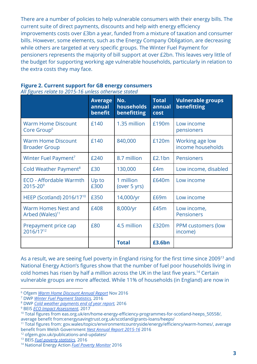There are a number of policies to help vulnerable consumers with their energy bills. The current suite of direct payments, discounts and help with energy efficiency improvements costs over £3bn a year, funded from a mixture of taxation and consumer bills. However, some elements, such as the Energy Company Obligation, are decreasing while others are targeted at very specific groups. The Winter Fuel Payment for pensioners represents the majority of bill support at over £2bn. This leaves very little of the budget for supporting working age vulnerable households, particularly in relation to the extra costs they may face.

|                                                           | <b>Average</b><br>annual<br>benefit | No.<br>households<br>benefitting | <b>Total</b><br>annual<br><b>cost</b> | <b>Vulnerable groups</b><br>benefitting |
|-----------------------------------------------------------|-------------------------------------|----------------------------------|---------------------------------------|-----------------------------------------|
| <b>Warm Home Discount</b><br>Core Group <sup>6</sup>      | £140                                | 1.35 million                     | £190m                                 | Low income<br>pensioners                |
| <b>Warm Home Discount</b><br><b>Broader Group</b>         | £140                                | 840,000                          | £120m                                 | Working age low<br>income households    |
| Winter Fuel Payment <sup>7</sup>                          | £240                                | 8.7 million                      | £2.1bn                                | <b>Pensioners</b>                       |
| Cold Weather Payment <sup>8</sup>                         | £30                                 | 130,000                          | E4m                                   | Low income, disabled                    |
| <b>ECO</b> - Affordable Warmth<br>$2015 - 20^{9}$         | Up to<br>£300                       | 1 million<br>(over 5 yrs)        | £640m                                 | Low income                              |
| HEEP (Scotland) 2016/17 <sup>10</sup>                     | £350                                | 14,000/yr                        | £69m                                  | Low income                              |
| <b>Warm Homes Nest and</b><br>Arbed (Wales) <sup>11</sup> | £408                                | 8,000/yr                         | £45m                                  | Low income,<br><b>Pensioners</b>        |
| Prepayment price cap<br>2016/17 <sup>12</sup>             | £80                                 | 4.5 million                      | £320m                                 | PPM customers (low<br>income)           |
|                                                           |                                     | <b>Total</b>                     | £3.6bn                                |                                         |

Figure 2. Current support for GB energy consumers All figures relate to 2015-16 unless otherwise stated

As a result, we are seeing fuel poverty in England rising for the first time since 2009<sup>13</sup> and National Energy Action's figures show that the number of fuel poor households living in cold homes has risen by half a million across the UK in the last five years.<sup>14</sup> Certain vulnerable groups are more affected. While 11% of households (in England) are now in

<sup>6</sup> Ofgem Warm Home [Discount](https://www.ofgem.gov.uk/system/files/docs/2016/12/whd_annual_report_sy5_final_for_publication2.pdf) Annual Report Nov 2016

<sup>7</sup> DWP Winter Fuel [Payment](https://www.gov.uk/government/statistics/winter-fuel-payment-recipient-and-household-figures-2015-to-2016) Statistics, 2016

<sup>8</sup> DWP Cold weather [payments](https://www.gov.uk/government/statistics/cold-weather-payment-statistics-2015-to-2016) end of year report, 2016

<sup>&</sup>lt;sup>9</sup> BEIS ECO Impact [Assessment](https://www.gov.uk/government/uploads/system/uploads/attachment_data/file/586266/ECO_Transition_Final_Stage_IA__For_Publication_.pdf), 2017

<sup>&</sup>lt;sup>10</sup> Total figures from eas.org.uk/en/home-energy-efficiency-programmes-for-scotland-heeps\_50558/, average benefit from:energysavingtrust.org.uk/scotland/grants-loans/heeps/

<sup>11</sup> Total figures from: gov.wales/topics/environmentcountryside/energy/efficiency/warm-homes/, average benefit from Welsh Government Nest Annual Report [2015-16](https://www.nestwales.org.uk/sites/default/files/Nest-Report_2016_English_04%20Final.pdf) 2016

<sup>12</sup> ofgem.gov.uk/publications-and-updates/

<sup>&</sup>lt;sup>13</sup> BEIS Fuel poverty [statistics](https://www.gov.uk/government/collections/fuel-poverty-statistics), 2016

<sup>&</sup>lt;sup>14</sup> National Energy Action Fuel Poverty [Monitor](http://www.nea.org.uk/wp-content/uploads/2016/05/FPM_2016_low_res.pdf) 2016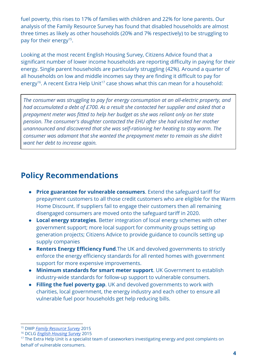fuel poverty, this rises to 17% of families with children and 22% for lone parents. Our analysis of the Family Resource Survey has found that disabled households are almost three times as likely as other households (20% and 7% respectively) to be struggling to pay for their energy<sup>15</sup>.

Looking at the most recent English Housing Survey, Citizens Advice found that a significant number of lower income households are reporting difficulty in paying for their energy. Single parent households are particularly struggling (42%). Around a quarter of all households on low and middle incomes say they are finding it difficult to pay for energy<sup>16</sup>. A recent Extra Help Unit<sup>17</sup> case shows what this can mean for a household:

The consumer was struggling to pay for energy consumption at an all-electric property, and had accumulated a debt of £700. As a result she contacted her supplier and asked that a prepayment meter was fitted to help her budget as she was reliant only on her state pension. The consumer's daughter contacted the EHU after she had visited her mother unannounced and discovered that she was self-rationing her heating to stay warm. The consumer was adamant that she wanted the prepayment meter to remain as she didn't want her debt to increase again.

### Policy Recommendations

- Price guarantee for vulnerable consumers. Extend the safeguard tariff for prepayment customers to all those credit customers who are eligible for the Warm Home Discount. If suppliers fail to engage their customers then all remaining disengaged consumers are moved onto the safeguard tariff in 2020.
- Local energy strategies. Better integration of local energy schemes with other government support; more local support for community groups setting up generation projects; Citizens Advice to provide guidance to councils setting up supply companies
- Renters Energy Efficiency Fund. The UK and devolved governments to strictly enforce the energy efficiency standards for all rented homes with government support for more expensive improvements.
- Minimum standards for smart meter support. UK Government to establish industry-wide standards for follow-up support to vulnerable consumers.
- Filling the fuel poverty gap. UK and devolved governments to work with charities, local government, the energy industry and each other to ensure all vulnerable fuel poor households get help reducing bills.

<sup>&</sup>lt;sup>15</sup> DWP Family [Resource](https://www.gov.uk/government/collections/family-resources-survey--2) Survey 2015

<sup>&</sup>lt;sup>16</sup> DCLG English [Housing](https://www.gov.uk/government/collections/english-housing-survey) Survey 2015

<sup>&</sup>lt;sup>17</sup> The Extra Help Unit is a specialist team of caseworkers investigating energy and post complaints on behalf of vulnerable consumers.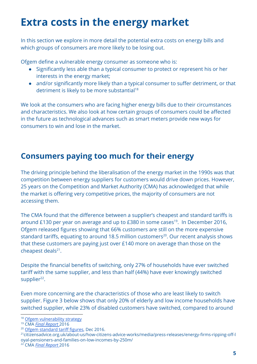# Extra costs in the energy market

In this section we explore in more detail the potential extra costs on energy bills and which groups of consumers are more likely to be losing out.

Ofgem define a vulnerable energy consumer as someone who is:

- Significantly less able than a typical consumer to protect or represent his or her interests in the energy market;
- and/or significantly more likely than a typical consumer to suffer detriment, or that detriment is likely to be more substantial<sup>18</sup>

We look at the consumers who are facing higher energy bills due to their circumstances and characteristics. We also look at how certain groups of consumers could be affected in the future as technological advances such as smart meters provide new ways for consumers to win and lose in the market.

## Consumers paying too much for their energy

The driving principle behind the liberalisation of the energy market in the 1990s was that competition between energy suppliers for customers would drive down prices. However, 25 years on the Competition and Market Authority (CMA) has acknowledged that while the market is offering very competitive prices, the majority of consumers are not accessing them.

The CMA found that the difference between a supplier's cheapest and standard tariffs is around £130 per year on average and up to  $E$ 380 in some cases<sup>19</sup>. In December 2016, Ofgem released figures showing that 66% customers are still on the more expensive standard tariffs, equating to around 18.5 million customers<sup>20</sup>. Our recent analysis shows that these customers are paying just over £140 more on average than those on the cheapest deals $21$ .

Despite the financial benefits of switching, only 27% of households have ever switched tariff with the same supplier, and less than half (44%) have ever knowingly switched supplier<sup>22</sup>.

Even more concerning are the characteristics of those who are least likely to switch supplier. Figure 3 below shows that only 20% of elderly and low income households have switched supplier, while 23% of disabled customers have switched, compared to around

- <sup>20</sup> Ofgem [standard](https://www.ofgem.gov.uk/consumers/household-gas-and-electricity-guide/understand-your-gas-and-electricity-bills/energy-plans-what-standard-variable-rate-tariff-and-how-does-it-compare) tariff figures, Dec 2016.
- <sup>21</sup>citizensadvice.org.uk/about-us/how-citizens-advice-works/media/press-releases/energy-firms-ripping-off-l oyal-pensioners-and-families-on-low-incomes-by-250m/
- <sup>22</sup> CMA Final [Report](https://assets.publishing.service.gov.uk/media/5773de34e5274a0da3000113/final-report-energy-market-investigation.pdf) 2016

<sup>&</sup>lt;sup>18</sup> Ofgem [vulnerability](https://www.ofgem.gov.uk/about-us/how-we-work/working-consumers/protecting-and-empowering-consumers-vulnerable-situations/consumer-vulnerability-strategy) strategy

<sup>19</sup> CMA Final [Report](https://assets.publishing.service.gov.uk/media/5773de34e5274a0da3000113/final-report-energy-market-investigation.pdf) 2016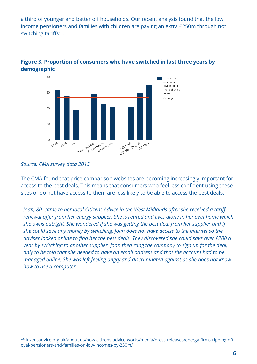a third of younger and better off households. Our recent analysis found that the low income pensioners and families with children are paying an extra £250m through not switching tariffs $23$ .



#### Figure 3. Proportion of consumers who have switched in last three years by demographic

#### Source: CMA survey data 2015

The CMA found that price comparison websites are becoming increasingly important for access to the best deals. This means that consumers who feel less confident using these sites or do not have access to them are less likely to be able to access the best deals.

Joan, 80, came to her local Citizens Advice in the West Midlands after she received a tariff renewal offer from her energy supplier. She is retired and lives alone in her own home which she owns outright. She wondered if she was getting the best deal from her supplier and if she could save any money by switching. Joan does not have access to the internet so the adviser looked online to find her the best deals. They discovered she could save over £200 a year by switching to another supplier. Joan then rang the company to sign up for the deal, only to be told that she needed to have an email address and that the account had to be managed online. She was left feeling angry and discriminated against as she does not know how to use a computer.

<sup>23</sup>citizensadvice.org.uk/about-us/how-citizens-advice-works/media/press-releases/energy-firms-ripping-off-l oyal-pensioners-and-families-on-low-incomes-by-250m/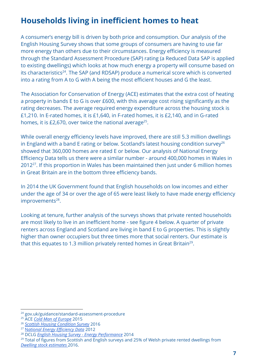## Households living in inefficient homes to heat

A consumer's energy bill is driven by both price and consumption. Our analysis of the English Housing Survey shows that some groups of consumers are having to use far more energy than others due to their circumstances. Energy efficiency is measured through the Standard Assessment Procedure (SAP) rating (a Reduced Data SAP is applied to existing dwellings) which looks at how much energy a property will consume based on its characteristics<sup>24</sup>. The SAP (and RDSAP) produce a numerical score which is converted into a rating from A to G with A being the most efficient houses and G the least.

The Association for Conservation of Energy (ACE) estimates that the extra cost of heating a property in bands E to G is over £600, with this average cost rising significantly as the rating decreases. The average required energy expenditure across the housing stock is £1,210. In E-rated homes, it is £1,640, in F-rated homes, it is £2,140, and in G-rated homes, it is £2,670, over twice the national average<sup>25</sup>.

While overall energy efficiency levels have improved, there are still 5.3 million dwellings in England with a band E rating or below. Scotland's latest housing condition survey $^{26}$ showed that 360,000 homes are rated E or below. Our analysis of National Energy Efficiency Data tells us there were a similar number - around 400,000 homes in Wales in  $2012<sup>27</sup>$ . If this proportion in Wales has been maintained then just under 6 million homes in Great Britain are in the bottom three efficiency bands.

In 2014 the UK Government found that English households on low incomes and either under the age of 34 or over the age of 65 were least likely to have made energy efficiency improvements<sup>28</sup>.

Looking at tenure, further analysis of the surveys shows that private rented households are most likely to live in an inefficient home - see figure 4 below. A quarter of private renters across England and Scotland are living in band E to G properties. This is slightly higher than owner occupiers but three times more that social renters. Our estimate is that this equates to 1.3 million privately rented homes in Great Britain<sup>29</sup>.

<sup>24</sup> gov.uk/guidance/standard-assessment-procedure

<sup>&</sup>lt;sup>25</sup> ACE Cold Man of [Europe](http://www.ukace.org/wp-content/uploads/2015/10/ACE-and-EBR-briefing-2015-10-Cold-man-of-Europe-update.pdf) 2015

<sup>&</sup>lt;sup>26</sup> Scottish Housing [Condition](http://www.gov.scot/Resource/0051/00511081.pdf) Survey 2016

<sup>&</sup>lt;sup>27</sup> [N](https://www.gov.uk/government/collections/national-energy-efficiency-data-need-framework)ational Energy Efficiency Data 2012

<sup>&</sup>lt;sup>28</sup> DCLG English Housing Survey - Energy [Performance](https://www.gov.uk/government/uploads/system/uploads/attachment_data/file/335148/Chapter_1_Energy_performance.pdf) 2014

<sup>&</sup>lt;sup>29</sup> Total of figures from Scottish and English surveys and 25% of Welsh private rented dwellings from Dwelling stock [estimates](https://statswales.gov.wales/Catalogue/Housing/Dwelling-Stock-Estimates/dwellingstockestimates-by-year-tenure) 2016.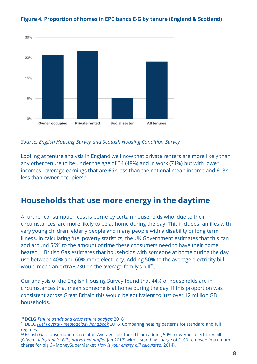

#### Figure 4. Proportion of homes in EPC bands E-G by tenure (England & Scotland)

Source: English Housing Survey and Scottish Housing Condition Survey

Looking at tenure analysis in England we know that private renters are more likely than any other tenure to be under the age of 34 (48%) and in work (71%) but with lower incomes - average earnings that are £6k less than the national mean income and £13k less than owner occupiers<sup>30</sup>.

#### Households that use more energy in the daytime

A further consumption cost is borne by certain households who, due to their circumstances, are more likely to be at home during the day. This includes families with very young children, elderly people and many people with a disability or long term illness. In calculating fuel poverty statistics, the UK Government estimates that this can add around 50% to the amount of time these consumers need to have their home heated<sup>31</sup>. British Gas estimates that households with someone at home during the day use between 40% and 60% more electricity. Adding 50% to the average electricity bill would mean an extra  $E$ 230 on the average family's bill<sup>32</sup>.

Our analysis of the English Housing Survey found that 44% of households are in circumstances that mean someone is at home during the day. If this proportion was consistent across Great Britain this would be equivalent to just over 12 million GB households.

<sup>&</sup>lt;sup>30</sup> DCLG Tenure trends and cross tenure [analysis](https://www.gov.uk/government/statistical-data-sets/tenure-trends-and-cross-tenure-analysis) 2016

<sup>&</sup>lt;sup>31</sup> DECC *Fuel Poverty - [methodology](https://www.gov.uk/government/uploads/system/uploads/attachment_data/file/557403/Fuel_Poverty_Methodology_Handbook_2016_updated_23.09.2016.pdf) handbook* [2](https://www.gov.uk/government/uploads/system/uploads/attachment_data/file/557403/Fuel_Poverty_Methodology_Handbook_2016_updated_23.09.2016.pdf)016. Comparing heating patterns for standard and full regimes.

<sup>&</sup>lt;sup>32</sup> British Gas [consumption](https://www.britishgas.co.uk/consumption-calculator.html) calculator. Average cost found from adding 50% to average electricity bill (Ofgem, [Infographic:](https://www.ofgem.gov.uk/publications-and-updates/infographic-bills-prices-and-profits) Bills, prices and profits, Jan 2017) with a standing charge of £100 removed (maximum charge for big 6 - MoneySuperMarket, How is your energy bill [calculated](http://www.moneysupermarket.com/c/news/how-is-your-energy-bill-calculated/0026474/), 2014).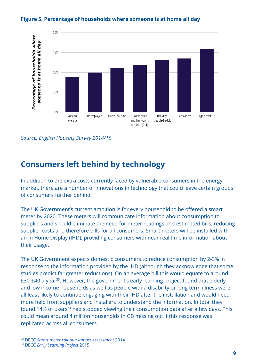



Source: English Housing Survey 2014/15

## Consumers left behind by technology

In addition to the extra costs currently faced by vulnerable consumers in the energy market, there are a number of innovations in technology that could leave certain groups of consumers further behind.

The UK Government's current ambition is for every household to be offered a smart meter by 2020. These meters will communicate information about consumption to suppliers and should eliminate the need for meter readings and estimated bills, reducing supplier costs and therefore bills for all consumers. Smart meters will be installed with an In Home Display (IHD), providing consumers with near real time information about their usage.

The UK Government expects domestic consumers to reduce consumption by 2-3% in response to the information provided by the IHD (although they acknowledge that some studies predict far greater reductions). On an average bill this would equate to around  $E$ 30-£40 a year<sup>33</sup>. However, the government's early learning project found that elderly and low income households as well as people with a disability or long term illness were all least likely to continue engaging with their IHD after the installation and would need more help from suppliers and installers to understand the information. In total they found 14% of users<sup>34</sup> had stopped viewing their consumption data after a few days. This could mean around 4 million households in GB missing out if this response was replicated across all consumers.

<sup>&</sup>lt;sup>33</sup> DECC Smart meter roll-out: Impact [Assessment](https://www.gov.uk/government/uploads/system/uploads/attachment_data/file/276656/smart_meter_roll_out_for_the_domestic_and_small_and_medium_and_non_domestic_sectors.pdf) 2014

<sup>&</sup>lt;sup>34</sup> DECC Early [Learning](https://www.gov.uk/government/uploads/system/uploads/attachment_data/file/407543/3_Smart_Metering_Early_Learning_Project_-_Consumer_survey_and_qual_research_-_Main_report_FINAL_CORRECTED.pdf) Project 2015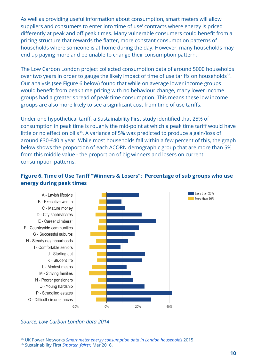As well as providing useful information about consumption, smart meters will allow suppliers and consumers to enter into 'time of use' contracts where energy is priced differently at peak and off peak times. Many vulnerable consumers could benefit from a pricing structure that rewards the flatter, more constant consumption patterns of households where someone is at home during the day. However, many households may end up paying more and be unable to change their consumption pattern.

The Low Carbon London project collected consumption data of around 5000 households over two years in order to gauge the likely impact of time of use tariffs on households<sup>35</sup>. Our analysis (see Figure 6 below) found that while on average lower income groups would benefit from peak time pricing with no behaviour change, many lower income groups had a greater spread of peak time consumption. This means these low income groups are also more likely to see a significant cost from time of use tariffs.

Under one hypothetical tariff, a Sustainability First study identified that 25% of consumption in peak time is roughly the mid-point at which a peak time tariff would have little or no effect on bills<sup>36</sup>. A variance of 5% was predicted to produce a gain/loss of around £30-£40 a year. While most households fall within a few percent of this, the graph below shows the proportion of each ACORN demographic group that are more than 5% from this middle value - the proportion of big winners and losers on current consumption patterns.

#### Figure 6. Time of Use Tariff "Winners & Losers": Percentage of sub groups who use energy during peak times



#### Source: Low Carbon London data 2014

<sup>&</sup>lt;sup>35</sup> UK Power Networks Smart meter energy [consumption](https://data.london.gov.uk/dataset/smartmeter-energy-use-data-in-london-households) data in London households 2015

<sup>&</sup>lt;sup>36</sup> Sustainability First [Smarter,](http://www.sustainabilityfirst.org.uk/images/publications/other/Sustainability_First_-_Discussion_Paper_by_Jon_Bird_-_Smarter_fairer__Cost-reflectivity_and_socialisation_in_domestic_electricity_prices_-_FINAL.pdf) fairer, Mar 2016.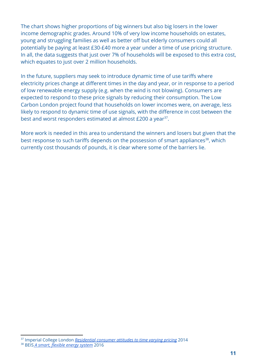The chart shows higher proportions of big winners but also big losers in the lower income demographic grades. Around 10% of very low income households on estates, young and struggling families as well as better off but elderly consumers could all potentially be paying at least £30-£40 more a year under a time of use pricing structure. In all, the data suggests that just over 7% of households will be exposed to this extra cost, which equates to just over 2 million households.

In the future, suppliers may seek to introduce dynamic time of use tariffs where electricity prices change at different times in the day and year, or in response to a period of low renewable energy supply (e.g. when the wind is not blowing). Consumers are expected to respond to these price signals by reducing their consumption. The Low Carbon London project found that households on lower incomes were, on average, less likely to respond to dynamic time of use signals, with the difference in cost between the best and worst responders estimated at almost £200 a year<sup>37</sup>.

More work is needed in this area to understand the winners and losers but given that the best response to such tariffs depends on the possession of smart appliances<sup>38</sup>, which currently cost thousands of pounds, it is clear where some of the barriers lie.

<sup>&</sup>lt;sup>37</sup> Imperial College London <u>[Residential](http://innovation.ukpowernetworks.co.uk/innovation/en/Projects/tier-2-projects/Low-Carbon-London-(LCL)/Project-Documents/LCL%20Learning%20Report%20-%20A2%20-%20Residential%20consumer%20attitudes%20to%20time%20varying%20pricing.pdf) consumer attitudes to time varying pricing</u> 2014

<sup>&</sup>lt;sup>38</sup> BEIS A smart, flexible energy system 2016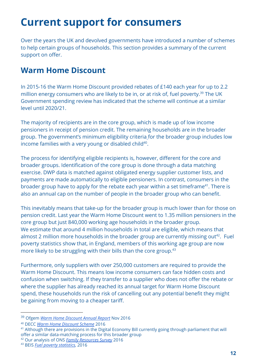# Current support for consumers

Over the years the UK and devolved governments have introduced a number of schemes to help certain groups of households. This section provides a summary of the current support on offer.

## Warm Home Discount

In 2015-16 the Warm Home Discount provided rebates of £140 each year for up to 2.2 million energy consumers who are likely to be in, or at risk of, fuel poverty.<sup>39</sup> The UK Government spending review has indicated that the scheme will continue at a similar level until 2020/21.

The majority of recipients are in the core group, which is made up of low income pensioners in receipt of pension credit. The remaining households are in the broader group. The government's minimum eligibility criteri[a](https://www.gov.uk/government/uploads/system/uploads/attachment_data/file/514324/Final_Warm_Home_Discount_consultation_for_publication.pdf) f[o](https://www.gov.uk/government/uploads/system/uploads/attachment_data/file/514324/Final_Warm_Home_Discount_consultation_for_publication.pdf)r [the](https://www.gov.uk/government/uploads/system/uploads/attachment_data/file/514324/Final_Warm_Home_Discount_consultation_for_publication.pdf) [broade](https://www.gov.uk/government/uploads/system/uploads/attachment_data/file/514324/Final_Warm_Home_Discount_consultation_for_publication.pdf)r [group](https://www.gov.uk/government/uploads/system/uploads/attachment_data/file/514324/Final_Warm_Home_Discount_consultation_for_publication.pdf) includes low income families with a very young or disabled child<sup>40</sup>.

The process for identifying eligible recipients is, however, different for the core and broader groups. Identification of the core group is done through a data matching exercise. DWP data is matched against obligated energy supplier customer lists, and payments are made automatically to eligible pensioners. In contrast, consumers in the broader group have to apply for the rebate each year within a set timeframe<sup>41</sup>. There is also an annual cap on the number of people in the broader group who can benefit.

This inevitably means that take-up for the broader group is much lower than for those on pension credit. Last year the Warm Home Discount went to 1.35 million pensioners in the core group but just 840,000 working age households in the broader group. We estimate that around 4 million households in total are eligible, which means that almost 2 million more households in the broader group are currently missing out<sup>42</sup>. Fuel poverty statistics show that, in England, members of this working age group are now more likely to be struggling with their bills than the core group. 43

Furthermore, only suppliers with over 250,000 customers are required to provide the Warm Home Discount. This means low income consumers can face hidden costs and confusion when switching. If they transfer to a supplier who does not offer the rebate or where the supplier has already reached its annual target for Warm Home Discount spend, these households run the risk of cancelling out any potential benefit they might be gaining from moving to a cheaper tariff.

<sup>&</sup>lt;sup>39</sup> Ofgem Warm Home [Discount](https://www.ofgem.gov.uk/system/files/docs/2016/12/whd_annual_report_sy5_final_for_publication2.pdf) Annual Report Nov 2016

<sup>40</sup> DECC Warm Home [Discount](https://www.gov.uk/government/uploads/system/uploads/attachment_data/file/514324/Final_Warm_Home_Discount_consultation_for_publication.pdf) Scheme 2016

 $41$  Although there are provisions in the Digital Economy Bill currently going through parliament that will offer a similar data-matching process for this broader group

<sup>&</sup>lt;sup>42</sup> Our analysis of ONS Family [Resources](https://discover.ukdataservice.ac.uk/catalogue/?sn=8013&type=Data%20catalogue) Survey 2016

<sup>43</sup> BEIS Fuel poverty [statistics](https://www.gov.uk/government/collections/fuel-poverty-statistics), 2016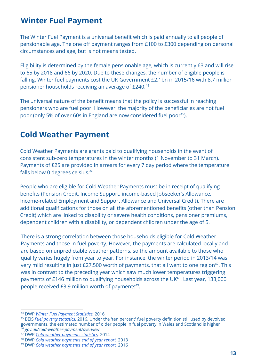#### Winter Fuel Payment

The Winter Fuel Payment is a universal benefit which is paid annually to all people of pensionable age. The one off payment ranges from £100 to £300 depending on personal circumstances and age, but is not means tested.

Eligibility is determined by the female pensionable age, which is currently 63 and will rise to 65 by 2018 and 66 by 2020. Due to these changes, the number of eligible people is falling. Winter fuel payments cost the UK Government £2.1bn in 2015/16 with 8.7 million pensioner households receiving an average of £240. 44

The universal nature of the benefit means that the policy is successful in reaching pensioners who are fuel poor. However, the majority of the beneficiaries are not fuel poor (only 5% of over 60s in England are now considered fuel poor<sup>45</sup>).

### Cold Weather Payment

Cold Weather Payments are grants paid to qualifying households in the event of consistent sub-zero temperatures in the winter months (1 November to 31 March). Payments of £25 are provided in arrears for every 7 day period where the temperature falls below 0 degrees celsius. 46

People who are eligible for Cold Weather Payments must be in receipt of qualifying benefits (Pension Credit, Income Support, income-based Jobseeker's Allowance, Income-related Employment and Support Allowance and Universal Credit). There are additional qualifications for those on all the aforementioned benefits (other than Pension Credit) which are linked to disability or severe health conditions, pensioner premiums, dependent children with a disability, or dependent children under the age of 5.

There is a strong correlation between those households eligible for Cold Weather Payments and those in fuel poverty. However, the payments are calculated locally and are based on unpredictable weather patterns, so the amount available to those who qualify varies hugely from year to year. For instance, the winter period in 2013/14 was very mild resulting in just £27,500 worth of payments, that all went to one region $47$ . This was in contrast to the preceding year which saw much lower temperatures triggering payments of £146 million to qualifying households across the UK<sup>48</sup>. Last year, 133,000 people received  $E3.9$  million worth of payments<sup>49</sup>.

<sup>46</sup> gov.uk/cold-weather-payment/overview

<sup>44</sup> DWP Winter Fuel [Payment](https://www.gov.uk/government/statistics/winter-fuel-payment-recipient-and-household-figures-2015-to-2016) Statistics, 2016

<sup>&</sup>lt;sup>45</sup> BEIS *Fuel poverty [statistics](https://www.gov.uk/government/collections/fuel-poverty-statistics)*, 2016. Under the 'ten percent' fuel poverty definition still used by devolved governments, the estimated number of older people in fuel poverty in Wales and Scotland is higher

<sup>&</sup>lt;sup>47</sup> DWP Cold weather [payments](https://www.gov.uk/government/collections/cold-weather-payments-statistics-2013-to-2014) statistics, 2014

<sup>48</sup> DWP Cold weather [payments](https://www.gov.uk/government/statistics/social-fund-cold-weather-payment-summary-statistics-april-2013) end of year report, 2013

<sup>49</sup> DWP Cold weather [payments](https://www.gov.uk/government/statistics/cold-weather-payment-statistics-2015-to-2016) end of year report, 2016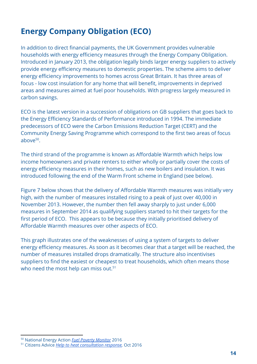## Energy Company Obligation (ECO)

In addition to direct financial payments, the UK Government provides vulnerable households with energy efficiency measures through the Energy Company Obligation. Introduced in January 2013, the obligation legally binds larger energy suppliers to actively provide energy efficiency measures to domestic properties. The scheme aims to deliver energy efficiency improvements to homes across Great Britain. It has three areas of focus - low cost insulation for any home that will benefit, improvements in deprived areas and measures aimed at fuel poor households. With progress largely measured in carbon savings.

ECO is the latest version in a succession of obligations on GB suppliers that goes back to the Energy Efficiency Standards of Performance introduced in 1994. The immediate predecessors of ECO were the Carbon Emissions Reduction Target (CERT) and the Community Energy Saving Programme which correspond to the first two areas of focus above<sup>50</sup>.

The third strand of the programme is known as Affordable Warmth which helps low income homeowners and private renters to either wholly or partially cover the costs of energy efficiency measures in their homes, such as new boilers and insulation. It was introduced following the end of the Warm Front scheme in England (see below).

Figure 7 below shows that the delivery of Affordable Warmth measures was initially very high, with the number of measures installed rising to a peak of just over 40,000 in November 2013. However, the number then fell away sharply to just under 6,000 measures in September 2014 as qualifying suppliers started to hit their targets for the first period of ECO. This appears to be because they initially prioritised delivery of Affordable Warmth measures over other aspects of ECO.

This graph illustrates one of the weaknesses of using a system of targets to deliver energy efficiency measures. As soon as it becomes clear that a target will be reached, the number of measures installed drops dramatically. The structure also incentivises suppliers to find the easiest or cheapest to treat households, which often means those who need the most help can miss out.<sup>51</sup>

<sup>50</sup> National Energy Action **Fuel Poverty [Monitor](http://www.nea.org.uk/wp-content/uploads/2016/05/FPM_2016_low_res.pdf)** 2016

<sup>51</sup> Citizens Advice Help to heat [consultation](https://www.citizensadvice.org.uk/about-us/policy/policy-research-topics/energy-policy-research-and-consultation-responses/energy-consultation-responses/citizens-advice-response-to-the-help-to-heat-consultation/) response, Oct 2016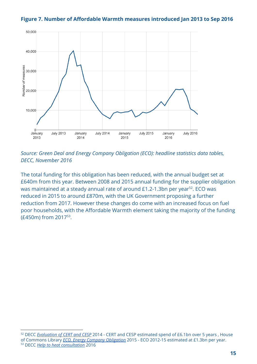



Source: Green Deal and Energy Company Obligation (ECO): headline statistics data tables, DECC, November 2016

The total funding for this obligation has been reduced, with the annual budget set at £640m from this year. Between 2008 and 2015 annual funding for the supplier obligation was maintained at a steady annual rate of around £1.2-1.3bn per year $^{52}$ . ECO was reduced in 2015 to around £870m, with the UK Government proposing a further reduction from 2017. However these changes do come with an increased focus on fuel poor households, with the Affordable Warmth element taking the majority of the funding  $(E450m)$  from 2017<sup>53</sup>.

<sup>&</sup>lt;sup>52</sup> DECC *[Evaluation](https://www.gov.uk/government/uploads/system/uploads/attachment_data/file/350722/CERT_CESP_Evaluation_FINAL_Report.pdf) of CERT and CES[P](https://www.gov.uk/government/uploads/system/uploads/attachment_data/file/350722/CERT_CESP_Evaluation_FINAL_Report.pdf)* 2014 - CERT and CESP estimated spend of £6.1bn over 5 years , House of Commons Library ECO, Energy Company [Obligation](http://researchbriefings.parliament.uk/ResearchBriefing/Summary/SN06814) 2015 - ECO 2012-15 estimated at £1.3bn per year. <sup>53</sup> DECC Help to heat [consultation](https://www.gov.uk/government/uploads/system/uploads/attachment_data/file/531964/ECO_Help_to_Heat_Consultation_Document_for_publication.pdf) 2016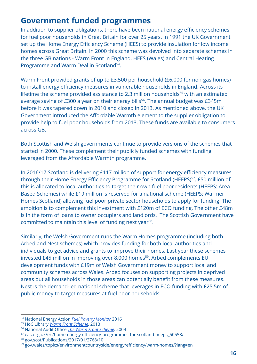## Government funded programmes

In addition to supplier obligations, there have been national energy efficiency schemes for fuel poor households in Great Britain for over 25 years. In 1991 the UK Government set up the Home Energy Efficiency Scheme (HEES) to provide insulation for low income homes across Great Britain. In 2000 this scheme was devolved into separate schemes in the three GB nations - Warm Front in England, HEES (Wales) and Central Heating Programme and Warm Deal in Scotland<sup>54</sup>.

Warm Front provided grants of up to £3,500 per household (£6,000 for non-gas homes) to install energy efficiency measures in vulnerable households in England. Across its lifetime the scheme provided assistance to 2.3 million households<sup>55</sup> with an estimated average saving of £300 a year on their energy bills 56 . The annual budget was £345m before it was tapered down in 2010 and closed in 2013. As mentioned above, the UK Government introduced the Affordable Warmth element to the supplier obligation to provide help to fuel poor households from 2013. These funds are available to consumers across GB.

Both Scottish and Welsh governments continue to provide versions of the schemes that started in 2000. These complement their publicly funded schemes with funding leveraged from the Affordable Warmth programme.

In 2016/17 Scotland is delivering £117 million of support for energy efficiency measures through their Home Energy Efficiency Programme for Scotland (HEEPS)<sup>57</sup>. £50 million of this is allocated to local authorities to target their own fuel poor residents (HEEPS: Area Based Schemes) while £19 million is reserved for a national scheme (HEEPS: Warmer Homes Scotland) allowing fuel poor private sector households to apply for funding. The ambition is to complement this investment with £120m of ECO funding. The other £48m is in the form of loans to owner occupiers and landlords. The Scottish Government have committed to maintain this level of funding next year<sup>58</sup>.

Similarly, the Welsh Government runs the Warm Homes programme (including both Arbed and Nest schemes) which provides funding for both local authorities and individuals to get advice and grants to improve their homes. Last year these schemes invested £45 million in improving over 8,000 homes $^{59}$ . Arbed complements EU development funds with £19m of Welsh Government money to support local and community schemes across Wales. Arbed focuses on supporting projects in deprived areas but all households in those areas can potentially benefit from these measures. Nest is the demand-led national scheme that leverages in ECO funding with £25.5m of public money to target measures at fuel poor households.

<sup>58</sup> gov.scot/Publications/2017/01/2768/10

<sup>54</sup> National Energy Action Fuel Poverty [Monitor](http://www.nea.org.uk/wp-content/uploads/2016/05/FPM_2016_low_res.pdf) 2016

<sup>55</sup> HoC Library Warm Front [Scheme](http://researchbriefings.parliament.uk/ResearchBriefing/Summary/SN06231), 2013

<sup>56</sup> National Audit Office The Warm Front [Scheme,](https://www.nao.org.uk/report/the-warm-front-scheme/) 2009

<sup>57</sup> eas.org.uk/en/home-energy-efficiency-programmes-for-scotland-heeps\_50558/

<sup>59</sup> gov.wales/topics/environmentcountryside/energy/efficiency/warm-homes/?lang=en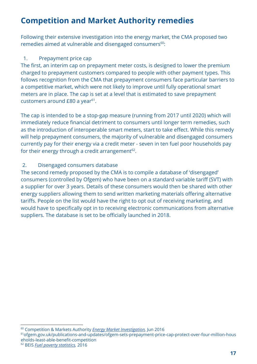## Competition and Market Authority remedies

Following their extensive investigation into the energy market, the CMA proposed two remedies aimed at vulnerable and disengaged consumers<sup>60</sup>:

#### 1. Prepayment price cap

The first, an interim cap on prepayment meter costs, is designed to lower the premium charged to prepayment customers compared to people with other payment types. This follows recognition from the CMA that prepayment consumers face particular barriers to a competitive market, which were not likely to improve until fully operational smart meters are in place. The cap is set at a level that is estimated to save prepayment customers around  $E80$  a year<sup>61</sup>.

The cap is intended to be a stop-gap measure (running from 2017 until 2020) which will immediately reduce financial detriment to consumers until longer term remedies, such as the introduction of interoperable smart meters, start to take effect. While this remedy will help prepayment consumers, the majority of vulnerable and disengaged consumers currently pay for their energy via a credit meter - seven in ten fuel poor households pay for their energy through a credit arrangement $^{62}$ .

#### 2. Disengaged consumers database

The second remedy proposed by the CMA is to compile a database of 'disengaged' consumers (controlled by Ofgem) who have been on a standard variable tariff (SVT) with a supplier for over 3 years. Details of these consumers would then be shared with other energy suppliers allowing them to send written marketing materials offering alternative tariffs. People on the list would have the right to opt out of receiving marketing, and would have to specifically opt in to receiving electronic communications from alternative suppliers. The database is set to be officially launched in 2018.

<sup>60</sup> Competition & Markets Authority Energy Market [Investigation,](https://assets.publishing.service.gov.uk/media/5773de34e5274a0da3000113/final-report-energy-market-investigation.pdf) Jun 2016

<sup>61</sup>ofgem.gov.uk/publications-and-updates/ofgem-sets-prepayment-price-cap-protect-over-four-million-hous eholds-least-able-benefit-competition

<sup>62</sup> BEIS Fuel poverty [statistics](https://www.gov.uk/government/collections/fuel-poverty-statistics), 2016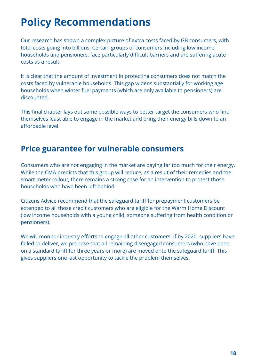# Policy Recommendations

Our research has shown a complex picture of extra costs faced by GB consumers, with total costs going into billions. Certain groups of consumers including low income households and pensioners, face particularly difficult barriers and are suffering acute costs as a result.

It is clear that the amount of investment in protecting consumers does not match the costs faced by vulnerable households. This gap widens substantially for working age households when winter fuel payments (which are only available to pensioners) are discounted.

This final chapter lays out some possible ways to better target the consumers who find themselves least able to engage in the market and bring their energy bills down to an affordable level.

## Price guarantee for vulnerable consumers

Consumers who are not engaging in the market are paying far too much for their energy. While the CMA predicts that this group will reduce, as a result of their remedies and the smart meter rollout, there remains a strong case for an intervention to protect those households who have been left behind.

Citizens Advice recommend that the safeguard tariff for prepayment customers be extended to all those credit customers who are eligible for the Warm Home Discount (low income households with a young child, someone suffering from health condition or pensioners).

We will monitor industry efforts to engage all other customers. If by 2020, suppliers have failed to deliver, we propose that all remaining disengaged consumers (who have been on a standard tariff for three years or more) are moved onto the safeguard tariff. This gives suppliers one last opportunity to tackle the problem themselves.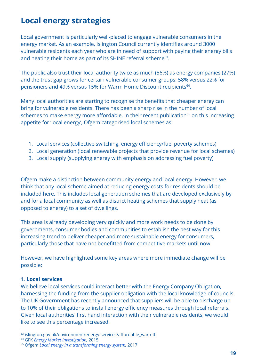## Local energy strategies

Local government is particularly well-placed to engage vulnerable consumers in the energy market. As an example, Islington Council currently identifies around 3000 vulnerable residents each year who are in need of support with paying their energy bills and heating their home as part of its SHINE referral scheme $<sup>63</sup>$ .</sup>

The public also trust their local authority twice as much (56%) as energy companies (27%) and the trust gap grows for certain vulnerable consumer groups: 58% versus 22% for pensioners and 49% versus 15% for Warm Home Discount recipients<sup>64</sup>.

Many local authorities are starting to recognise the benefits that cheaper energy can bring for vulnerable residents. There has been a sharp rise in the number of local schemes to make energy more affordable. In their recent publication<sup>65</sup> on this increasing appetite for 'local energy', Ofgem categorised local schemes as:

- 1. Local services (collective switching, energy efficiency/fuel poverty schemes)
- 2. Local generation (local renewable projects that provide revenue for local schemes)
- 3. Local supply (supplying energy with emphasis on addressing fuel poverty)

Ofgem make a distinction between community energy and local energy. However, we think that any local scheme aimed at reducing energy costs for residents should be included here. This includes local generation schemes that are developed exclusively by and for a local community as well as district heating schemes that supply heat (as opposed to energy) to a set of dwellings.

This area is already developing very quickly and more work needs to be done by governments, consumer bodies and communities to establish the best way for this increasing trend to deliver cheaper and more sustainable energy for consumers, particularly those that have not benefitted from competitive markets until now.

However, we have highlighted some key areas where more immediate change will be possible:

#### 1. Local services

We believe local services could interact better with the Energy Company Obligation, harnessing the funding from the supplier obligation with the local knowledge of councils. The UK Government has recently announced that suppliers will be able to discharge up to 10% of their obligations to install energy efficiency measures through local referrals. Given local authorities' first hand interaction with their vulnerable residents, we would like to see this percentage increased.

<sup>&</sup>lt;sup>63</sup> islington.gov.uk/environment/energy-services/affordable\_warmth

<sup>&</sup>lt;sup>64</sup> GFK Energy Market [Investigation](https://assets.publishing.service.gov.uk/media/54e75c53ed915d0cf700000d/CMA_customer_survey_-_energy_investigation_-_GfK_Report.pdf), 2015

<sup>65</sup> Ofgem Local energy in a [transforming](https://www.ofgem.gov.uk/system/files/docs/2017/01/ofgem_future_insights_series_3_local_energy_final_300117.pdf) energy system, 2017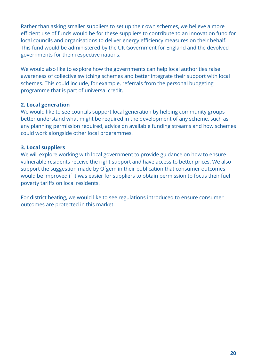Rather than asking smaller suppliers to set up their own schemes, we believe a more efficient use of funds would be for these suppliers to contribute to an innovation fund for local councils and organisations to deliver energy efficiency measures on their behalf. This fund would be administered by the UK Government for England and the devolved governments for their respective nations.

We would also like to explore how the governments can help local authorities raise awareness of collective switching schemes and better integrate their support with local schemes. This could include, for example, referrals from the personal budgeting programme that is part of universal credit.

#### 2. Local generation

We would like to see councils support local generation by helping community groups better understand what might be required in the development of any scheme, such as any planning permission required, advice on available funding streams and how schemes could work alongside other local programmes.

#### 3. Local suppliers

We will explore working with local government to provide guidance on how to ensure vulnerable residents receive the right support and have access to better prices. We also support the suggestion made by Ofgem in their publication that consumer outcomes would be improved if it was easier for suppliers to obtain permission to focus their fuel poverty tariffs on local residents.

For district heating, we would like to see regulations introduced to ensure consumer outcomes are protected in this market.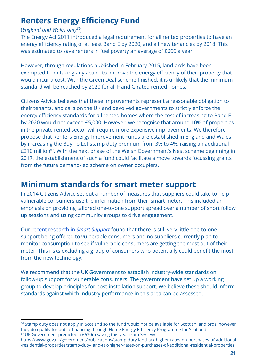## **Renters Energy Efficiency Fund**

#### (England and Wales only $^{66}$ )

The Energy Act 2011 introduced a legal requirement for all rented properties to have an energy efficiency rating of at least Band E by 2020, and all new tenancies by 2018. This was estimated to save renters in fuel poverty an average of £600 a year.

However, through regulations published in February 2015, landlords have been exempted from taking any action to improve the energy efficiency of their property that would incur a cost. With the Green Deal scheme finished, it is unlikely that the minimum standard will be reached by 2020 for all F and G rated rented homes.

Citizens Advice believes that these improvements represent a reasonable obligation to their tenants, and calls on the UK and devolved governments to strictly enforce the energy efficiency standards for all rented homes where the cost of increasing to Band E by 2020 would not exceed £5,000. However, we recognise that around 10% of properties in the private rented sector will require more expensive improvements. We therefore propose that Renters Energy Improvement Funds are established in England and Wales by increasing the Buy To Let stamp duty premium from 3% to 4%, raising an additional £210 million $^{67}$ . With the next phase of the Welsh Government's Nest scheme beginning in 2017, the establishment of such a fund could facilitate a move towards focussing grants from the future demand-led scheme on owner occupiers.

#### Minimum standards for smart meter support

In 2014 Citizens Advice set out a number of measures that suppliers could take to help vulnerable consumers use the information from their smart meter. This included an emphasis on providing tailored one-to-one support spread over a number of short follow up sessions and using community groups to drive engagement.

Our recent [research](https://www.citizensadvice.org.uk/about-us/policy/policy-research-topics/energy-policy-research-and-consultation-responses/energy-policy-research/smart-support-a-good-practice-guide/) in Smart [Support](https://www.citizensadvice.org.uk/about-us/policy/policy-research-topics/energy-policy-research-and-consultation-responses/energy-policy-research/smart-support-a-good-practice-guide/) found that there is still very little one-to-one support being offered to vulnerable consumers and no suppliers currently plan to monitor consumption to see if vulnerable consumers are getting the most out of their meter. This risks excluding a group of consumers who potentially could benefit the most from the new technology.

We recommend that the UK Government to establish industry-wide standards on follow-up support for vulnerable consumers. The government have set up a working group to develop principles for post-installation support. We believe these should inform standards against which industry performance in this area can be assessed.

<sup>&</sup>lt;sup>66</sup> Stamp duty does not apply in Scotland so the fund would not be available for Scottish landlords, however they do qualify for public financing through Home Energy Efficiency Programme for Scotland.  $67$  UK Government predicted a £630m saving this year from 3% levy -

https://www.gov.uk/government/publications/stamp-duty-land-tax-higher-rates-on-purchases-of-additional -residential-properties/stamp-duty-land-tax-higher-rates-on-purchases-of-additional-residential-properties